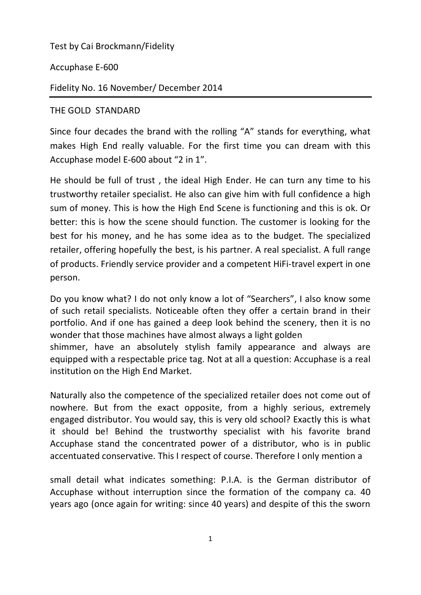Test by Cai Brockmann/Fidelity

Accuphase E-600

Fidelity No. 16 November/ December 2014

## THE GOLD STANDARD

Since four decades the brand with the rolling "A" stands for everything, what makes High End really valuable. For the first time you can dream with this Accuphase model E-600 about "2 in 1".

He should be full of trust , the ideal High Ender. He can turn any time to his trustworthy retailer specialist. He also can give him with full confidence a high sum of money. This is how the High End Scene is functioning and this is ok. Or better: this is how the scene should function. The customer is looking for the best for his money, and he has some idea as to the budget. The specialized retailer, offering hopefully the best, is his partner. A real specialist. A full range of products. Friendly service provider and a competent HiFi-travel expert in one person.

Do you know what? I do not only know a lot of "Searchers", I also know some of such retail specialists. Noticeable often they offer a certain brand in their portfolio. And if one has gained a deep look behind the scenery, then it is no wonder that those machines have almost always a light golden shimmer, have an absolutely stylish family appearance and always are equipped with a respectable price tag. Not at all a question: Accuphase is a real institution on the High End Market.

Naturally also the competence of the specialized retailer does not come out of nowhere. But from the exact opposite, from a highly serious, extremely engaged distributor. You would say, this is very old school? Exactly this is what it should be! Behind the trustworthy specialist with his favorite brand Accuphase stand the concentrated power of a distributor, who is in public accentuated conservative. This I respect of course. Therefore I only mention a

small detail what indicates something: P.I.A. is the German distributor of Accuphase without interruption since the formation of the company ca. 40 years ago (once again for writing: since 40 years) and despite of this the sworn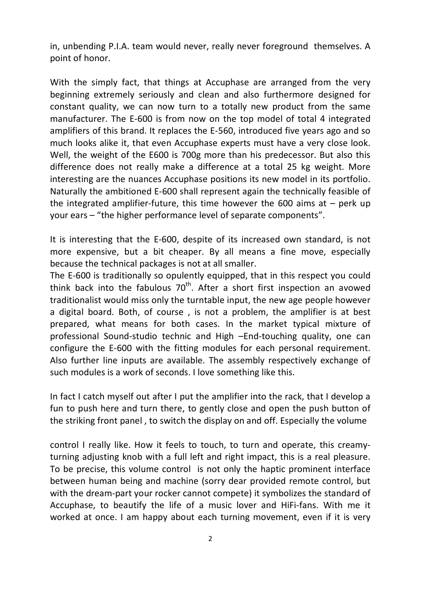in, unbending P.I.A. team would never, really never foreground themselves. A point of honor.

With the simply fact, that things at Accuphase are arranged from the very beginning extremely seriously and clean and also furthermore designed for constant quality, we can now turn to a totally new product from the same manufacturer. The E-600 is from now on the top model of total 4 integrated amplifiers of this brand. It replaces the E-560, introduced five years ago and so much looks alike it, that even Accuphase experts must have a very close look. Well, the weight of the E600 is 700g more than his predecessor. But also this difference does not really make a difference at a total 25 kg weight. More interesting are the nuances Accuphase positions its new model in its portfolio. Naturally the ambitioned E-600 shall represent again the technically feasible of the integrated amplifier-future, this time however the 600 aims at  $-$  perk up your ears – "the higher performance level of separate components".

It is interesting that the E-600, despite of its increased own standard, is not more expensive, but a bit cheaper. By all means a fine move, especially because the technical packages is not at all smaller.

The E-600 is traditionally so opulently equipped, that in this respect you could think back into the fabulous  $70<sup>th</sup>$ . After a short first inspection an avowed traditionalist would miss only the turntable input, the new age people however a digital board. Both, of course , is not a problem, the amplifier is at best prepared, what means for both cases. In the market typical mixture of professional Sound-studio technic and High –End-touching quality, one can configure the E-600 with the fitting modules for each personal requirement. Also further line inputs are available. The assembly respectively exchange of such modules is a work of seconds. I love something like this.

In fact I catch myself out after I put the amplifier into the rack, that I develop a fun to push here and turn there, to gently close and open the push button of the striking front panel , to switch the display on and off. Especially the volume

control I really like. How it feels to touch, to turn and operate, this creamyturning adjusting knob with a full left and right impact, this is a real pleasure. To be precise, this volume control is not only the haptic prominent interface between human being and machine (sorry dear provided remote control, but with the dream-part your rocker cannot compete) it symbolizes the standard of Accuphase, to beautify the life of a music lover and HiFi-fans. With me it worked at once. I am happy about each turning movement, even if it is very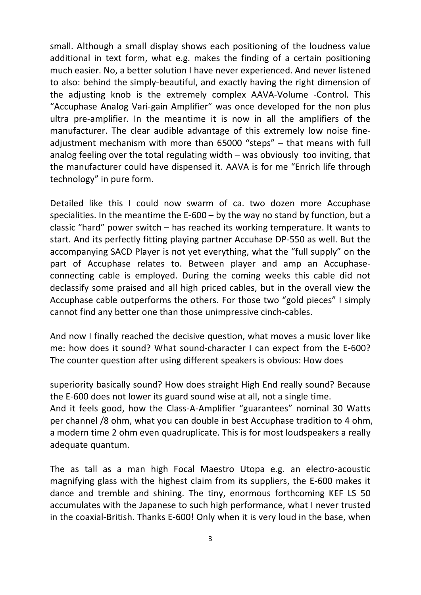small. Although a small display shows each positioning of the loudness value additional in text form, what e.g. makes the finding of a certain positioning much easier. No, a better solution I have never experienced. And never listened to also: behind the simply-beautiful, and exactly having the right dimension of the adjusting knob is the extremely complex AAVA-Volume -Control. This "Accuphase Analog Vari-gain Amplifier" was once developed for the non plus ultra pre-amplifier. In the meantime it is now in all the amplifiers of the manufacturer. The clear audible advantage of this extremely low noise fineadjustment mechanism with more than 65000 "steps" – that means with full analog feeling over the total regulating width – was obviously too inviting, that the manufacturer could have dispensed it. AAVA is for me "Enrich life through technology" in pure form.

Detailed like this I could now swarm of ca. two dozen more Accuphase specialities. In the meantime the E-600 – by the way no stand by function, but a classic "hard" power switch – has reached its working temperature. It wants to start. And its perfectly fitting playing partner Accuhase DP-550 as well. But the accompanying SACD Player is not yet everything, what the "full supply" on the part of Accuphase relates to. Between player and amp an Accuphaseconnecting cable is employed. During the coming weeks this cable did not declassify some praised and all high priced cables, but in the overall view the Accuphase cable outperforms the others. For those two "gold pieces" I simply cannot find any better one than those unimpressive cinch-cables.

And now I finally reached the decisive question, what moves a music lover like me: how does it sound? What sound-character I can expect from the E-600? The counter question after using different speakers is obvious: How does

superiority basically sound? How does straight High End really sound? Because the E-600 does not lower its guard sound wise at all, not a single time. And it feels good, how the Class-A-Amplifier "guarantees" nominal 30 Watts per channel /8 ohm, what you can double in best Accuphase tradition to 4 ohm, a modern time 2 ohm even quadruplicate. This is for most loudspeakers a really adequate quantum.

The as tall as a man high Focal Maestro Utopa e.g. an electro-acoustic magnifying glass with the highest claim from its suppliers, the E-600 makes it dance and tremble and shining. The tiny, enormous forthcoming KEF LS 50 accumulates with the Japanese to such high performance, what I never trusted in the coaxial-British. Thanks E-600! Only when it is very loud in the base, when